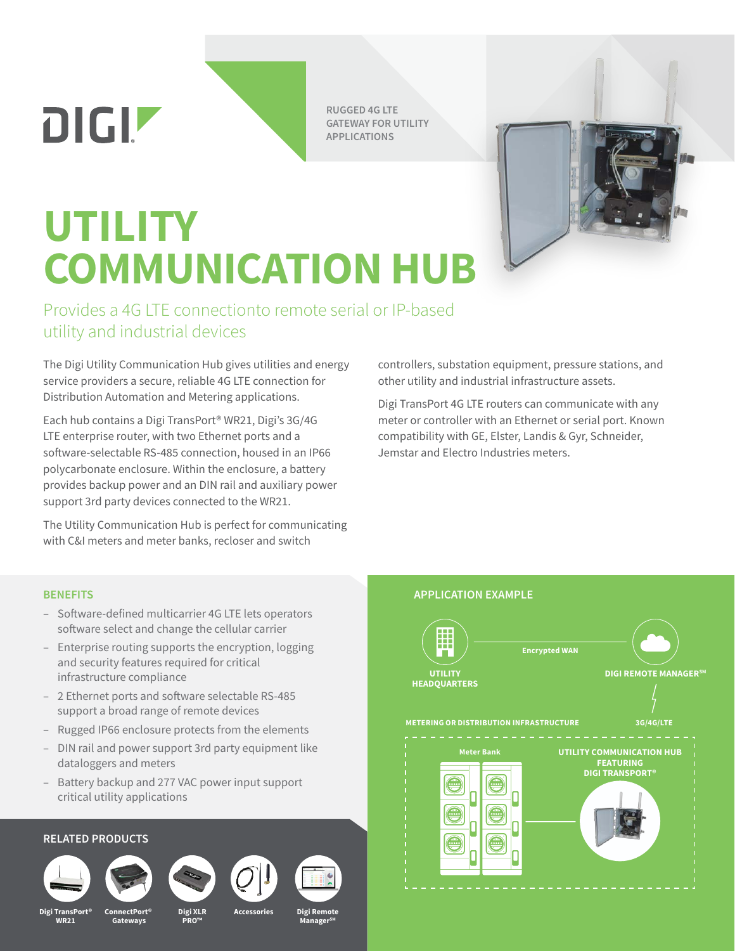**RUGGED 4G LTE GATEWAY FOR UTILITY APPLICATIONS**

## **UTILITY COMMUNICATION HUB**

Provides a 4G LTE connectionto remote serial or IP-based utility and industrial devices

The Digi Utility Communication Hub gives utilities and energy service providers a secure, reliable 4G LTE connection for Distribution Automation and Metering applications.

Each hub contains a Digi TransPort® WR21, Digi's 3G/4G LTE enterprise router, with two Ethernet ports and a software-selectable RS-485 connection, housed in an IP66 polycarbonate enclosure. Within the enclosure, a battery provides backup power and an DIN rail and auxiliary power support 3rd party devices connected to the WR21.

The Utility Communication Hub is perfect for communicating with C&I meters and meter banks, recloser and switch

**DIGIZ** 

- Software-defined multicarrier 4G LTE lets operators software select and change the cellular carrier
- Enterprise routing supports the encryption, logging and security features required for critical infrastructure compliance
- 2 Ethernet ports and software selectable RS-485 support a broad range of remote devices
- Rugged IP66 enclosure protects from the elements
- DIN rail and power support 3rd party equipment like dataloggers and meters
- Battery backup and 277 VAC power input support critical utility applications

## **RELATED PRODUCTS**







**PRO™**





controllers, substation equipment, pressure stations, and other utility and industrial infrastructure assets.

Digi TransPort 4G LTE routers can communicate with any meter or controller with an Ethernet or serial port. Known compatibility with GE, Elster, Landis & Gyr, Schneider, Jemstar and Electro Industries meters.

## **BENEFITS APPLICATION EXAMPLE**



**Digi TransPort® WR21**

**ConnectPort® Gateways**

**Digi XLR Accessories** **Digi Remote ManagerSM**